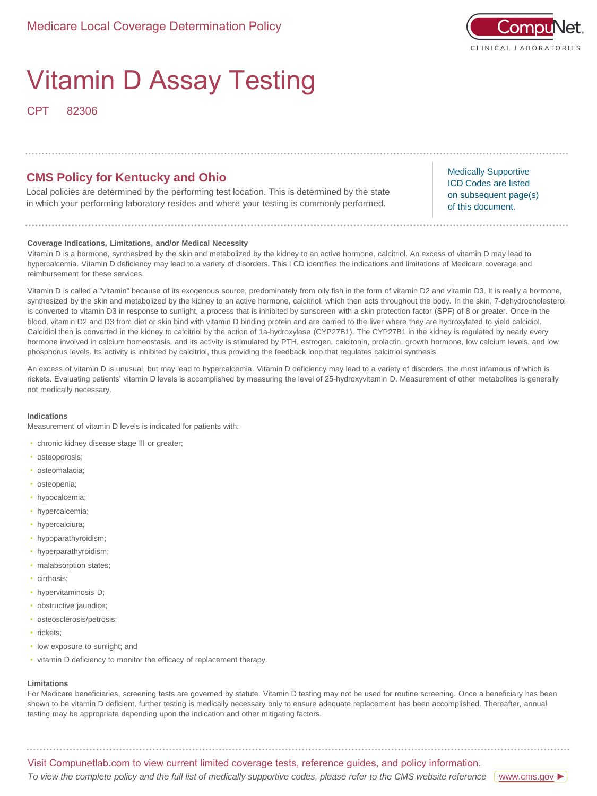

# Vitamin D Assay Testing

CPT 82306

## **CMS Policy for Kentucky and Ohio**

Local policies are determined by the performing test location. This is determined by the state in which your performing laboratory resides and where your testing is commonly performed.

Medically Supportive ICD Codes are listed on subsequent page(s) of this document.

## **Coverage Indications, Limitations, and/or Medical Necessity**

Vitamin D is a hormone, synthesized by the skin and metabolized by the kidney to an active hormone, calcitriol. An excess of vitamin D may lead to hypercalcemia. Vitamin D deficiency may lead to a variety of disorders. This LCD identifies the indications and limitations of Medicare coverage and reimbursement for these services.

Vitamin D is called a "vitamin" because of its exogenous source, predominately from oily fish in the form of vitamin D2 and vitamin D3. It is really a hormone, synthesized by the skin and metabolized by the kidney to an active hormone, calcitriol, which then acts throughout the body. In the skin, 7-dehydrocholesterol is converted to vitamin D3 in response to sunlight, a process that is inhibited by sunscreen with a skin protection factor (SPF) of 8 or greater. Once in the blood, vitamin D2 and D3 from diet or skin bind with vitamin D binding protein and are carried to the liver where they are hydroxylated to yield calcidiol. Calcidiol then is converted in the kidney to calcitriol by the action of 1a-hydroxylase (CYP27B1). The CYP27B1 in the kidney is regulated by nearly every hormone involved in calcium homeostasis, and its activity is stimulated by PTH, estrogen, calcitonin, prolactin, growth hormone, low calcium levels, and low phosphorus levels. Its activity is inhibited by calcitriol, thus providing the feedback loop that regulates calcitriol synthesis.

An excess of vitamin D is unusual, but may lead to hypercalcemia. Vitamin D deficiency may lead to a variety of disorders, the most infamous of which is rickets. Evaluating patients' vitamin D levels is accomplished by measuring the level of 25-hydroxyvitamin D. Measurement of other metabolites is generally not medically necessary.

## **Indications**

Measurement of vitamin D levels is indicated for patients with:

- chronic kidney disease stage III or greater;
- osteoporosis;
- osteomalacia;
- osteopenia;
- hypocalcemia;
- hypercalcemia;
- hypercalciura;
- hypoparathyroidism;
- hyperparathyroidism;
- malabsorption states;
- cirrhosis;
- hypervitaminosis D;
- obstructive jaundice;
- osteosclerosis/petrosis;
- rickets;
- low exposure to sunlight; and
- vitamin D deficiency to monitor the efficacy of replacement therapy.

#### **Limitations**

For Medicare beneficiaries, screening tests are governed by statute. Vitamin D testing may not be used for routine screening. Once a beneficiary has been shown to be vitamin D deficient, further testing is medically necessary only to ensure adequate replacement has been accomplished. Thereafter, annual testing may be appropriate depending upon the indication and other mitigating factors.

Visit Compunetlab.com to view current limited coverage tests, reference guides, and policy information.

To view the complete policy and the full list of medically supportive codes, please refer to the CMS website reference <u>[www.cms.gov](https://www.cms.gov/medicare-coverage-database/details/lcd-details.aspx?LCDId=33996&ver=13&DocID=L33996&bc=gAAAABAAAAAA&)</u>